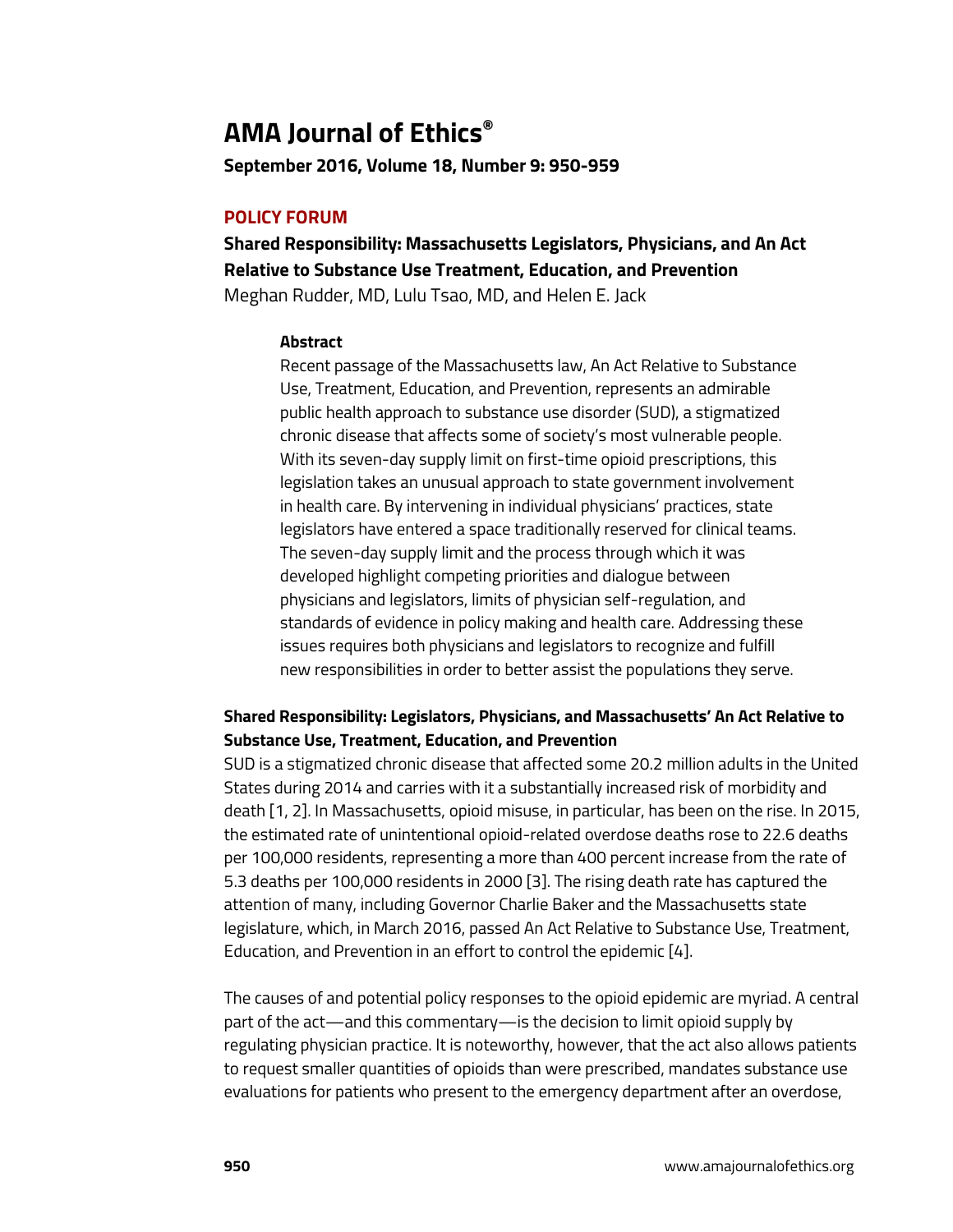# **AMA Journal of Ethics®**

**September 2016, Volume 18, Number 9: 950-959**

# **POLICY FORUM**

**Shared Responsibility: Massachusetts Legislators, Physicians, and An Act Relative to Substance Use Treatment, Education, and Prevention** Meghan Rudder, MD, Lulu Tsao, MD, and Helen E. Jack

# **Abstract**

Recent passage of the Massachusetts law, An Act Relative to Substance Use, Treatment, Education, and Prevention, represents an admirable public health approach to substance use disorder (SUD), a stigmatized chronic disease that affects some of society's most vulnerable people. With its seven-day supply limit on first-time opioid prescriptions, this legislation takes an unusual approach to state government involvement in health care. By intervening in individual physicians' practices, state legislators have entered a space traditionally reserved for clinical teams. The seven-day supply limit and the process through which it was developed highlight competing priorities and dialogue between physicians and legislators, limits of physician self-regulation, and standards of evidence in policy making and health care. Addressing these issues requires both physicians and legislators to recognize and fulfill new responsibilities in order to better assist the populations they serve.

# **Shared Responsibility: Legislators, Physicians, and Massachusetts' An Act Relative to Substance Use, Treatment, Education, and Prevention**

SUD is a stigmatized chronic disease that affected some 20.2 million adults in the United States during 2014 and carries with it a substantially increased risk of morbidity and death [1, 2]. In Massachusetts, opioid misuse, in particular, has been on the rise. In 2015, the estimated rate of unintentional opioid-related overdose deaths rose to 22.6 deaths per 100,000 residents, representing a more than 400 percent increase from the rate of 5.3 deaths per 100,000 residents in 2000 [3]. The rising death rate has captured the attention of many, including Governor Charlie Baker and the Massachusetts state legislature, which, in March 2016, passed An Act Relative to Substance Use, Treatment, Education, and Prevention in an effort to control the epidemic [4].

The causes of and potential policy responses to the opioid epidemic are myriad. A central part of the act—and this commentary—is the decision to limit opioid supply by regulating physician practice. It is noteworthy, however, that the act also allows patients to request smaller quantities of opioids than were prescribed, mandates substance use evaluations for patients who present to the emergency department after an overdose,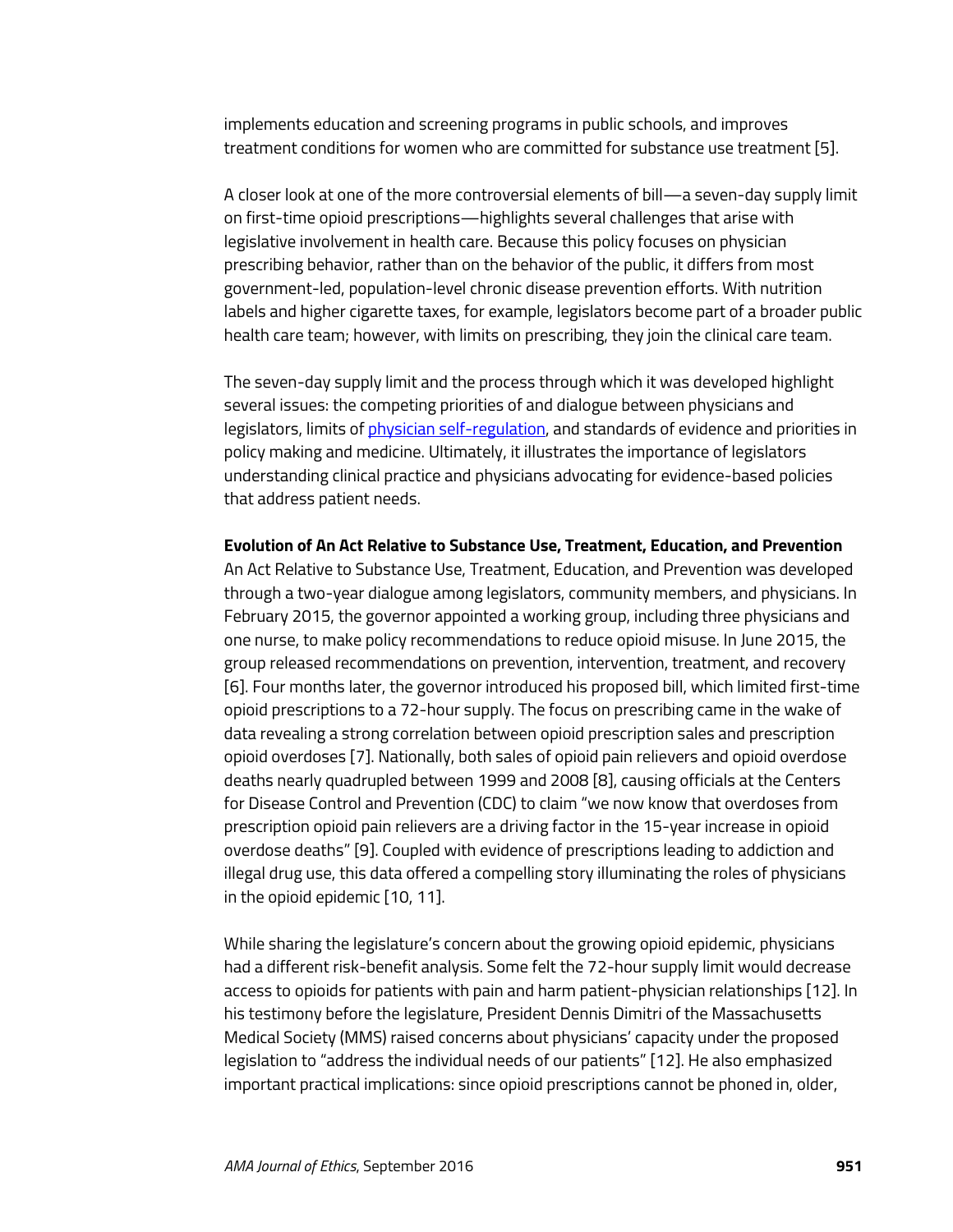implements education and screening programs in public schools, and improves treatment conditions for women who are committed for substance use treatment [5].

A closer look at one of the more controversial elements of bill—a seven-day supply limit on first-time opioid prescriptions—highlights several challenges that arise with legislative involvement in health care. Because this policy focuses on physician prescribing behavior, rather than on the behavior of the public, it differs from most government-led, population-level chronic disease prevention efforts. With nutrition labels and higher cigarette taxes, for example, legislators become part of a broader public health care team; however, with limits on prescribing, they join the clinical care team.

The seven-day supply limit and the process through which it was developed highlight several issues: the competing priorities of and dialogue between physicians and legislators, limits o[f physician self-regulation,](http://journalofethics.ama-assn.org/2014/04/hlaw1-1404.html) and standards of evidence and priorities in policy making and medicine. Ultimately, it illustrates the importance of legislators understanding clinical practice and physicians advocating for evidence-based policies that address patient needs.

#### **Evolution of An Act Relative to Substance Use, Treatment, Education, and Prevention**

An Act Relative to Substance Use, Treatment, Education, and Prevention was developed through a two-year dialogue among legislators, community members, and physicians. In February 2015, the governor appointed a working group, including three physicians and one nurse, to make policy recommendations to reduce opioid misuse. In June 2015, the group released recommendations on prevention, intervention, treatment, and recovery [6]. Four months later, the governor introduced his proposed bill, which limited first-time opioid prescriptions to a 72-hour supply. The focus on prescribing came in the wake of data revealing a strong correlation between opioid prescription sales and prescription opioid overdoses [7]. Nationally, both sales of opioid pain relievers and opioid overdose deaths nearly quadrupled between 1999 and 2008 [8], causing officials at the Centers for Disease Control and Prevention (CDC) to claim "we now know that overdoses from prescription opioid pain relievers are a driving factor in the 15-year increase in opioid overdose deaths" [9]. Coupled with evidence of prescriptions leading to addiction and illegal drug use, this data offered a compelling story illuminating the roles of physicians in the opioid epidemic [10, 11].

While sharing the legislature's concern about the growing opioid epidemic, physicians had a different risk-benefit analysis. Some felt the 72-hour supply limit would decrease access to opioids for patients with pain and harm patient-physician relationships [12]. In his testimony before the legislature, President Dennis Dimitri of the Massachusetts Medical Society (MMS) raised concerns about physicians' capacity under the proposed legislation to "address the individual needs of our patients" [12]. He also emphasized important practical implications: since opioid prescriptions cannot be phoned in, older,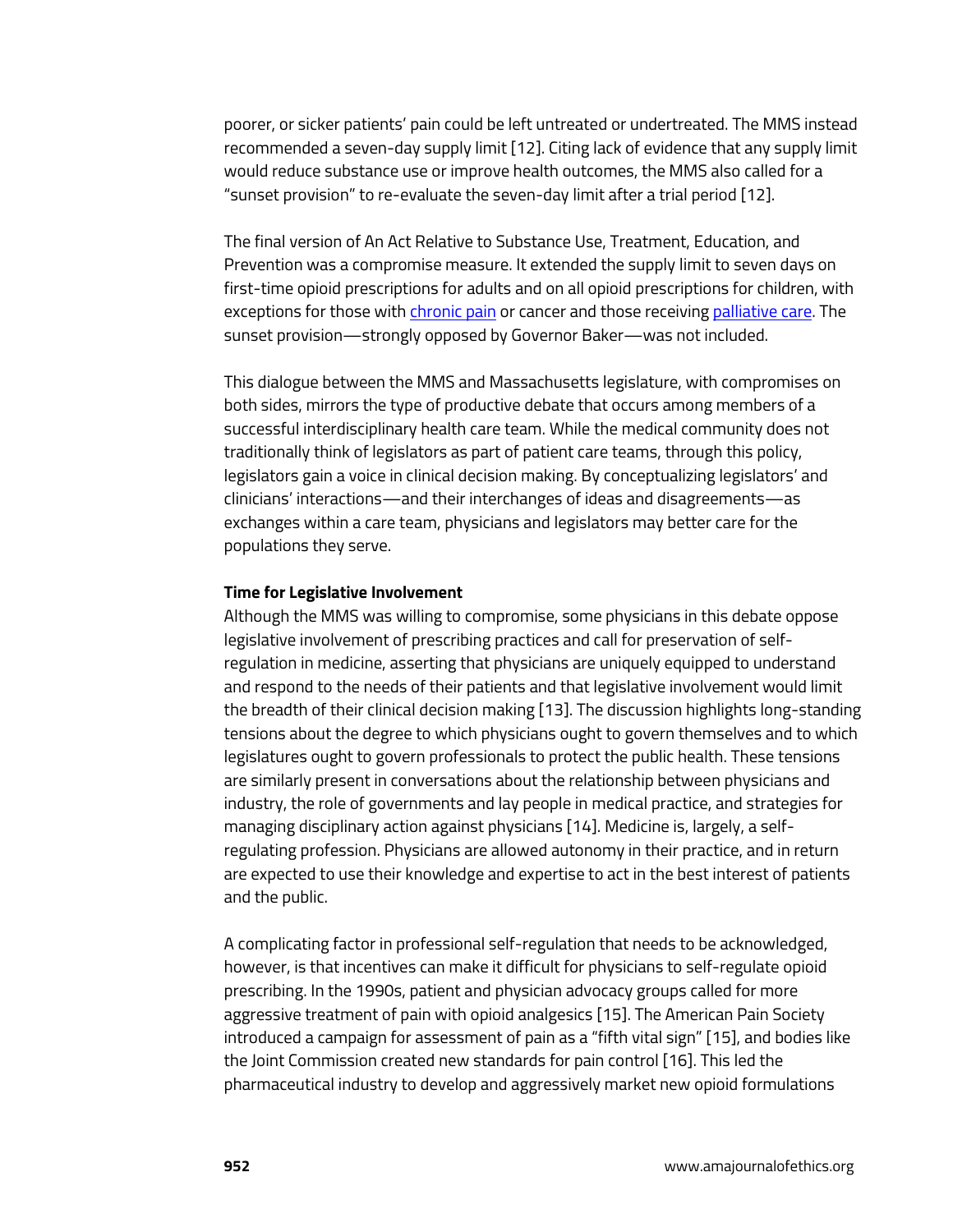poorer, or sicker patients' pain could be left untreated or undertreated. The MMS instead recommended a seven-day supply limit [12]. Citing lack of evidence that any supply limit would reduce substance use or improve health outcomes, the MMS also called for a "sunset provision" to re-evaluate the seven-day limit after a trial period [12].

The final version of An Act Relative to Substance Use, Treatment, Education, and Prevention was a compromise measure. It extended the supply limit to seven days on first-time opioid prescriptions for adults and on all opioid prescriptions for children, with exceptions for those wit[h chronic pain](http://journalofethics.ama-assn.org/2013/05/stas1-1305.html) or cancer and those receiving [palliative care.](http://journalofethics.ama-assn.org/2013/05/ecas1-1305.html) The sunset provision—strongly opposed by Governor Baker—was not included.

This dialogue between the MMS and Massachusetts legislature, with compromises on both sides, mirrors the type of productive debate that occurs among members of a successful interdisciplinary health care team. While the medical community does not traditionally think of legislators as part of patient care teams, through this policy, legislators gain a voice in clinical decision making. By conceptualizing legislators' and clinicians' interactions—and their interchanges of ideas and disagreements—as exchanges within a care team, physicians and legislators may better care for the populations they serve.

### **Time for Legislative Involvement**

Although the MMS was willing to compromise, some physicians in this debate oppose legislative involvement of prescribing practices and call for preservation of selfregulation in medicine, asserting that physicians are uniquely equipped to understand and respond to the needs of their patients and that legislative involvement would limit the breadth of their clinical decision making [13]. The discussion highlights long-standing tensions about the degree to which physicians ought to govern themselves and to which legislatures ought to govern professionals to protect the public health. These tensions are similarly present in conversations about the relationship between physicians and industry, the role of governments and lay people in medical practice, and strategies for managing disciplinary action against physicians [14]. Medicine is, largely, a selfregulating profession. Physicians are allowed autonomy in their practice, and in return are expected to use their knowledge and expertise to act in the best interest of patients and the public.

A complicating factor in professional self-regulation that needs to be acknowledged, however, is that incentives can make it difficult for physicians to self-regulate opioid prescribing. In the 1990s, patient and physician advocacy groups called for more aggressive treatment of pain with opioid analgesics [15]. The American Pain Society introduced a campaign for assessment of pain as a "fifth vital sign" [15], and bodies like the Joint Commission created new standards for pain control [16]. This led the pharmaceutical industry to develop and aggressively market new opioid formulations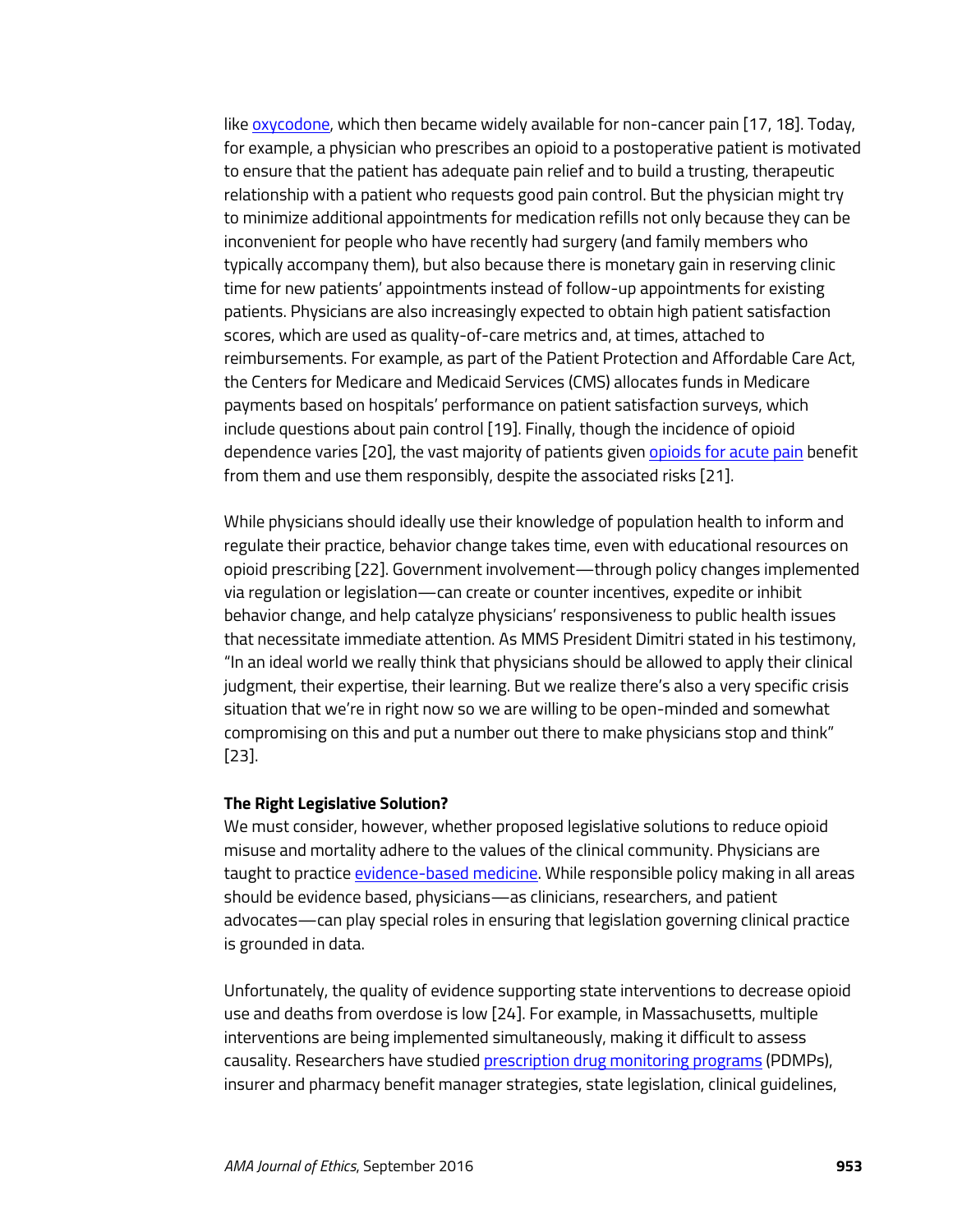like [oxycodone,](http://journalofethics.ama-assn.org/2014/04/pfor1-1404.html) which then became widely available for non-cancer pain [17, 18]. Today, for example, a physician who prescribes an opioid to a postoperative patient is motivated to ensure that the patient has adequate pain relief and to build a trusting, therapeutic relationship with a patient who requests good pain control. But the physician might try to minimize additional appointments for medication refills not only because they can be inconvenient for people who have recently had surgery (and family members who typically accompany them), but also because there is monetary gain in reserving clinic time for new patients' appointments instead of follow-up appointments for existing patients. Physicians are also increasingly expected to obtain high patient satisfaction scores, which are used as quality-of-care metrics and, at times, attached to reimbursements. For example, as part of the Patient Protection and Affordable Care Act, the Centers for Medicare and Medicaid Services (CMS) allocates funds in Medicare payments based on hospitals' performance on patient satisfaction surveys, which include questions about pain control [19]. Finally, though the incidence of opioid dependence varies [20], the vast majority of patients given [opioids for acute pain](http://journalofethics.ama-assn.org/2013/05/ecas2-1305.html) benefit from them and use them responsibly, despite the associated risks [21].

While physicians should ideally use their knowledge of population health to inform and regulate their practice, behavior change takes time, even with educational resources on opioid prescribing [22]. Government involvement—through policy changes implemented via regulation or legislation—can create or counter incentives, expedite or inhibit behavior change, and help catalyze physicians' responsiveness to public health issues that necessitate immediate attention. As MMS President Dimitri stated in his testimony, "In an ideal world we really think that physicians should be allowed to apply their clinical judgment, their expertise, their learning. But we realize there's also a very specific crisis situation that we're in right now so we are willing to be open-minded and somewhat compromising on this and put a number out there to make physicians stop and think" [23].

#### **The Right Legislative Solution?**

We must consider, however, whether proposed legislative solutions to reduce opioid misuse and mortality adhere to the values of the clinical community. Physicians are taught to practice [evidence-based medicine.](http://journalofethics.ama-assn.org/2013/01/mhst1-1301.html) While responsible policy making in all areas should be evidence based, physicians—as clinicians, researchers, and patient advocates—can play special roles in ensuring that legislation governing clinical practice is grounded in data.

Unfortunately, the quality of evidence supporting state interventions to decrease opioid use and deaths from overdose is low [24]. For example, in Massachusetts, multiple interventions are being implemented simultaneously, making it difficult to assess causality. Researchers have studied [prescription drug monitoring programs](http://journalofethics.ama-assn.org/2013/05/hlaw1-1305.html) (PDMPs), insurer and pharmacy benefit manager strategies, state legislation, clinical guidelines,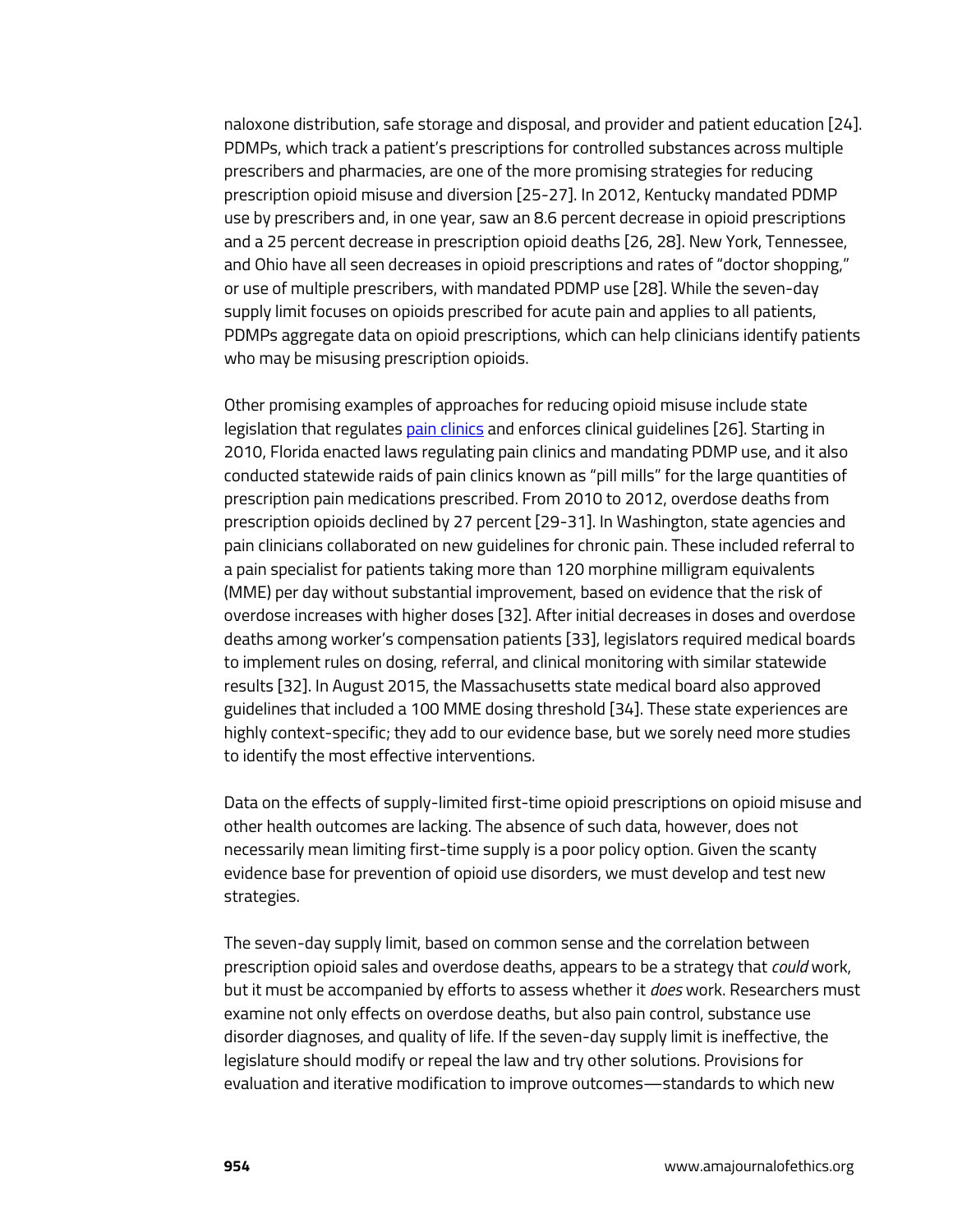naloxone distribution, safe storage and disposal, and provider and patient education [24]. PDMPs, which track a patient's prescriptions for controlled substances across multiple prescribers and pharmacies, are one of the more promising strategies for reducing prescription opioid misuse and diversion [25-27]. In 2012, Kentucky mandated PDMP use by prescribers and, in one year, saw an 8.6 percent decrease in opioid prescriptions and a 25 percent decrease in prescription opioid deaths [26, 28]. New York, Tennessee, and Ohio have all seen decreases in opioid prescriptions and rates of "doctor shopping," or use of multiple prescribers, with mandated PDMP use [28]. While the seven-day supply limit focuses on opioids prescribed for acute pain and applies to all patients, PDMPs aggregate data on opioid prescriptions, which can help clinicians identify patients who may be misusing prescription opioids.

Other promising examples of approaches for reducing opioid misuse include state legislation that regulates [pain clinics](http://journalofethics.ama-assn.org/2013/05/hlaw1-1305.html) and enforces clinical guidelines [26]. Starting in 2010, Florida enacted laws regulating pain clinics and mandating PDMP use, and it also conducted statewide raids of pain clinics known as "pill mills" for the large quantities of prescription pain medications prescribed. From 2010 to 2012, overdose deaths from prescription opioids declined by 27 percent [29-31]. In Washington, state agencies and pain clinicians collaborated on new guidelines for chronic pain. These included referral to a pain specialist for patients taking more than 120 morphine milligram equivalents (MME) per day without substantial improvement, based on evidence that the risk of overdose increases with higher doses [32]. After initial decreases in doses and overdose deaths among worker's compensation patients [33], legislators required medical boards to implement rules on dosing, referral, and clinical monitoring with similar statewide results [32]. In August 2015, the Massachusetts state medical board also approved guidelines that included a 100 MME dosing threshold [34]. These state experiences are highly context-specific; they add to our evidence base, but we sorely need more studies to identify the most effective interventions.

Data on the effects of supply-limited first-time opioid prescriptions on opioid misuse and other health outcomes are lacking. The absence of such data, however, does not necessarily mean limiting first-time supply is a poor policy option. Given the scanty evidence base for prevention of opioid use disorders, we must develop and test new strategies.

The seven-day supply limit, based on common sense and the correlation between prescription opioid sales and overdose deaths, appears to be a strategy that *could* work, but it must be accompanied by efforts to assess whether it *does* work. Researchers must examine not only effects on overdose deaths, but also pain control, substance use disorder diagnoses, and quality of life. If the seven-day supply limit is ineffective, the legislature should modify or repeal the law and try other solutions. Provisions for evaluation and iterative modification to improve outcomes—standards to which new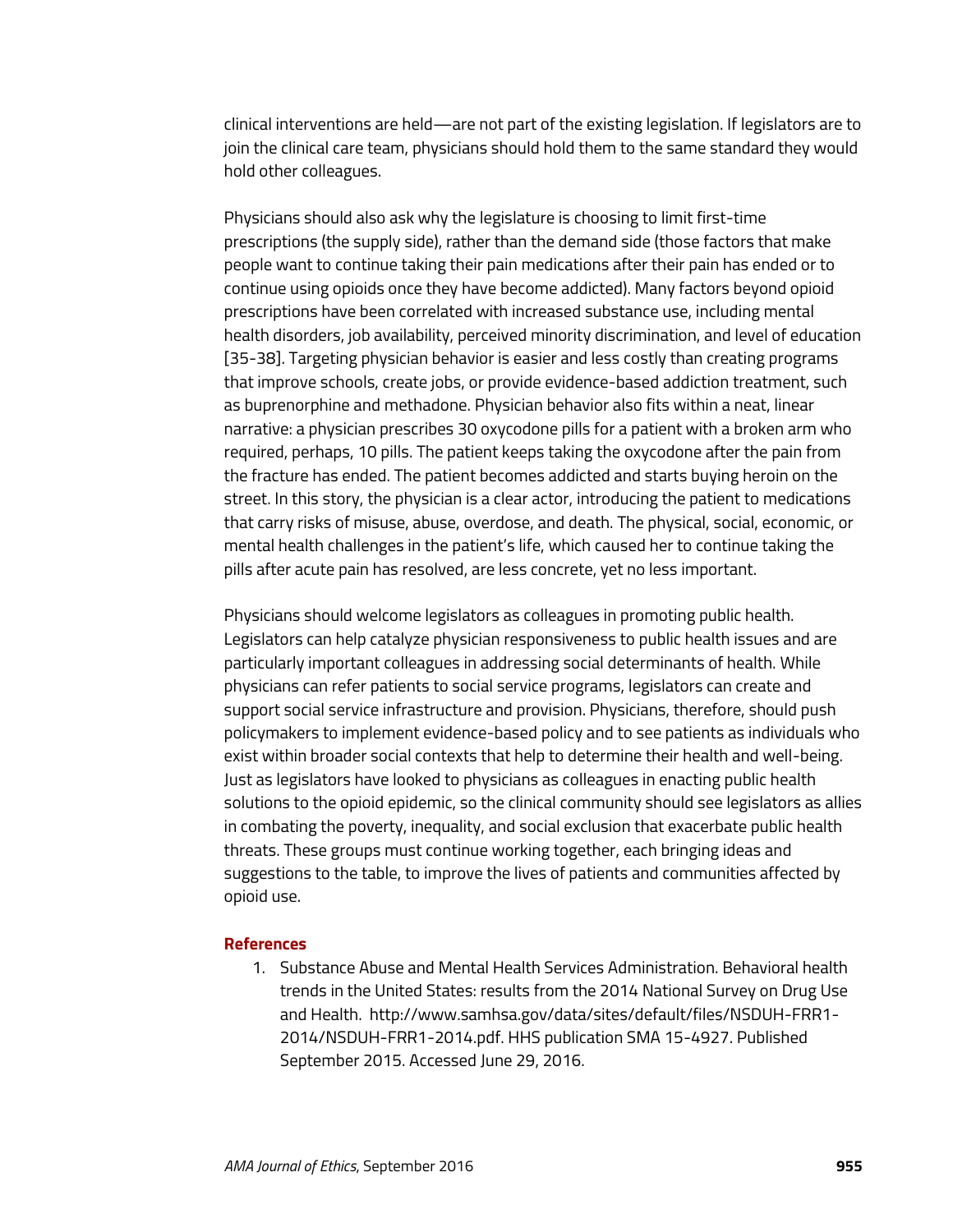clinical interventions are held—are not part of the existing legislation. If legislators are to join the clinical care team, physicians should hold them to the same standard they would hold other colleagues.

Physicians should also ask why the legislature is choosing to limit first-time prescriptions (the supply side), rather than the demand side (those factors that make people want to continue taking their pain medications after their pain has ended or to continue using opioids once they have become addicted). Many factors beyond opioid prescriptions have been correlated with increased substance use, including mental health disorders, job availability, perceived minority discrimination, and level of education [35-38]. Targeting physician behavior is easier and less costly than creating programs that improve schools, create jobs, or provide evidence-based addiction treatment, such as buprenorphine and methadone. Physician behavior also fits within a neat, linear narrative: a physician prescribes 30 oxycodone pills for a patient with a broken arm who required, perhaps, 10 pills. The patient keeps taking the oxycodone after the pain from the fracture has ended. The patient becomes addicted and starts buying heroin on the street. In this story, the physician is a clear actor, introducing the patient to medications that carry risks of misuse, abuse, overdose, and death. The physical, social, economic, or mental health challenges in the patient's life, which caused her to continue taking the pills after acute pain has resolved, are less concrete, yet no less important.

Physicians should welcome legislators as colleagues in promoting public health. Legislators can help catalyze physician responsiveness to public health issues and are particularly important colleagues in addressing social determinants of health. While physicians can refer patients to social service programs, legislators can create and support social service infrastructure and provision. Physicians, therefore, should push policymakers to implement evidence-based policy and to see patients as individuals who exist within broader social contexts that help to determine their health and well-being. Just as legislators have looked to physicians as colleagues in enacting public health solutions to the opioid epidemic, so the clinical community should see legislators as allies in combating the poverty, inequality, and social exclusion that exacerbate public health threats. These groups must continue working together, each bringing ideas and suggestions to the table, to improve the lives of patients and communities affected by opioid use.

## **References**

1. Substance Abuse and Mental Health Services Administration. Behavioral health trends in the United States: results from the 2014 National Survey on Drug Use and Health. http://www.samhsa.gov/data/sites/default/files/NSDUH-FRR1- 2014/NSDUH-FRR1-2014.pdf. HHS publication SMA 15-4927. Published September 2015. Accessed June 29, 2016.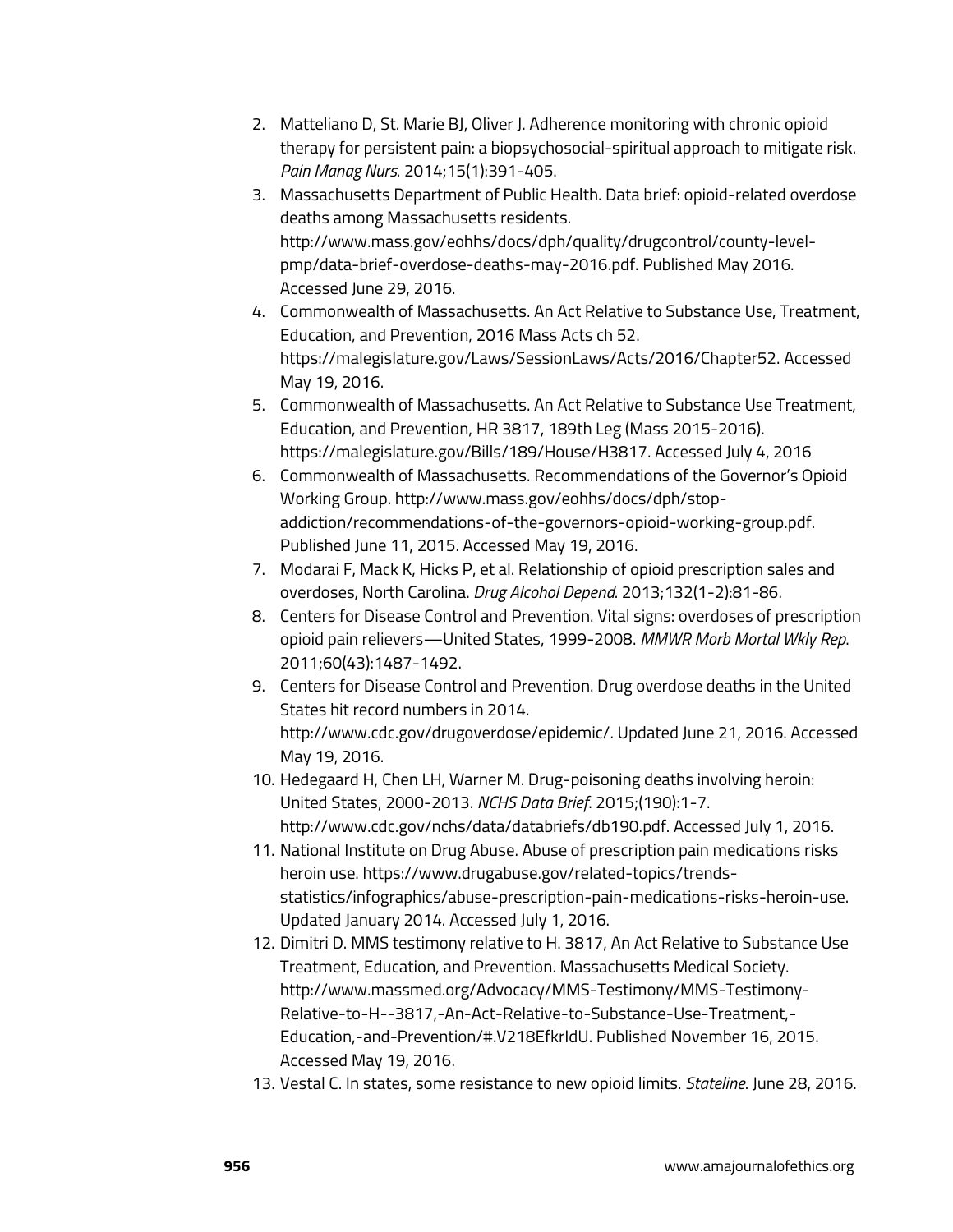- 2. Matteliano D, St. Marie BJ, Oliver J. Adherence monitoring with chronic opioid therapy for persistent pain: a biopsychosocial-spiritual approach to mitigate risk. *Pain Manag Nurs*. 2014;15(1):391-405.
- 3. Massachusetts Department of Public Health. Data brief: opioid-related overdose deaths among Massachusetts residents. http://www.mass.gov/eohhs/docs/dph/quality/drugcontrol/county-levelpmp/data-brief-overdose-deaths-may-2016.pdf. Published May 2016. Accessed June 29, 2016.
- 4. Commonwealth of Massachusetts. An Act Relative to Substance Use, Treatment, Education, and Prevention, 2016 Mass Acts ch 52. https://malegislature.gov/Laws/SessionLaws/Acts/2016/Chapter52. Accessed May 19, 2016.
- 5. Commonwealth of Massachusetts. An Act Relative to Substance Use Treatment, Education, and Prevention, HR 3817, 189th Leg (Mass 2015-2016). https://malegislature.gov/Bills/189/House/H3817. Accessed July 4, 2016
- 6. Commonwealth of Massachusetts. Recommendations of the Governor's Opioid Working Group. http://www.mass.gov/eohhs/docs/dph/stopaddiction/recommendations-of-the-governors-opioid-working-group.pdf. Published June 11, 2015. Accessed May 19, 2016.
- 7. Modarai F, Mack K, Hicks P, et al. Relationship of opioid prescription sales and overdoses, North Carolina. *Drug Alcohol Depend*. 2013;132(1-2):81-86.
- 8. Centers for Disease Control and Prevention. Vital signs: overdoses of prescription opioid pain relievers—United States, 1999-2008. *MMWR Morb Mortal Wkly Rep*. 2011;60(43):1487-1492.
- 9. Centers for Disease Control and Prevention. Drug overdose deaths in the United States hit record numbers in 2014. http://www.cdc.gov/drugoverdose/epidemic/. Updated June 21, 2016. Accessed May 19, 2016.
- 10. Hedegaard H, Chen LH, Warner M. Drug-poisoning deaths involving heroin: United States, 2000-2013. *NCHS Data Brief*. 2015;(190):1-7. http://www.cdc.gov/nchs/data/databriefs/db190.pdf. Accessed July 1, 2016.
- 11. National Institute on Drug Abuse. Abuse of prescription pain medications risks heroin use. https://www.drugabuse.gov/related-topics/trendsstatistics/infographics/abuse-prescription-pain-medications-risks-heroin-use. Updated January 2014. Accessed July 1, 2016.
- 12. Dimitri D. MMS testimony relative to H. 3817, An Act Relative to Substance Use Treatment, Education, and Prevention. Massachusetts Medical Society. http://www.massmed.org/Advocacy/MMS-Testimony/MMS-Testimony-Relative-to-H--3817,-An-Act-Relative-to-Substance-Use-Treatment,- Education,-and-Prevention/#.V218EfkrIdU. Published November 16, 2015. Accessed May 19, 2016.
- 13. Vestal C. In states, some resistance to new opioid limits. *Stateline*. June 28, 2016.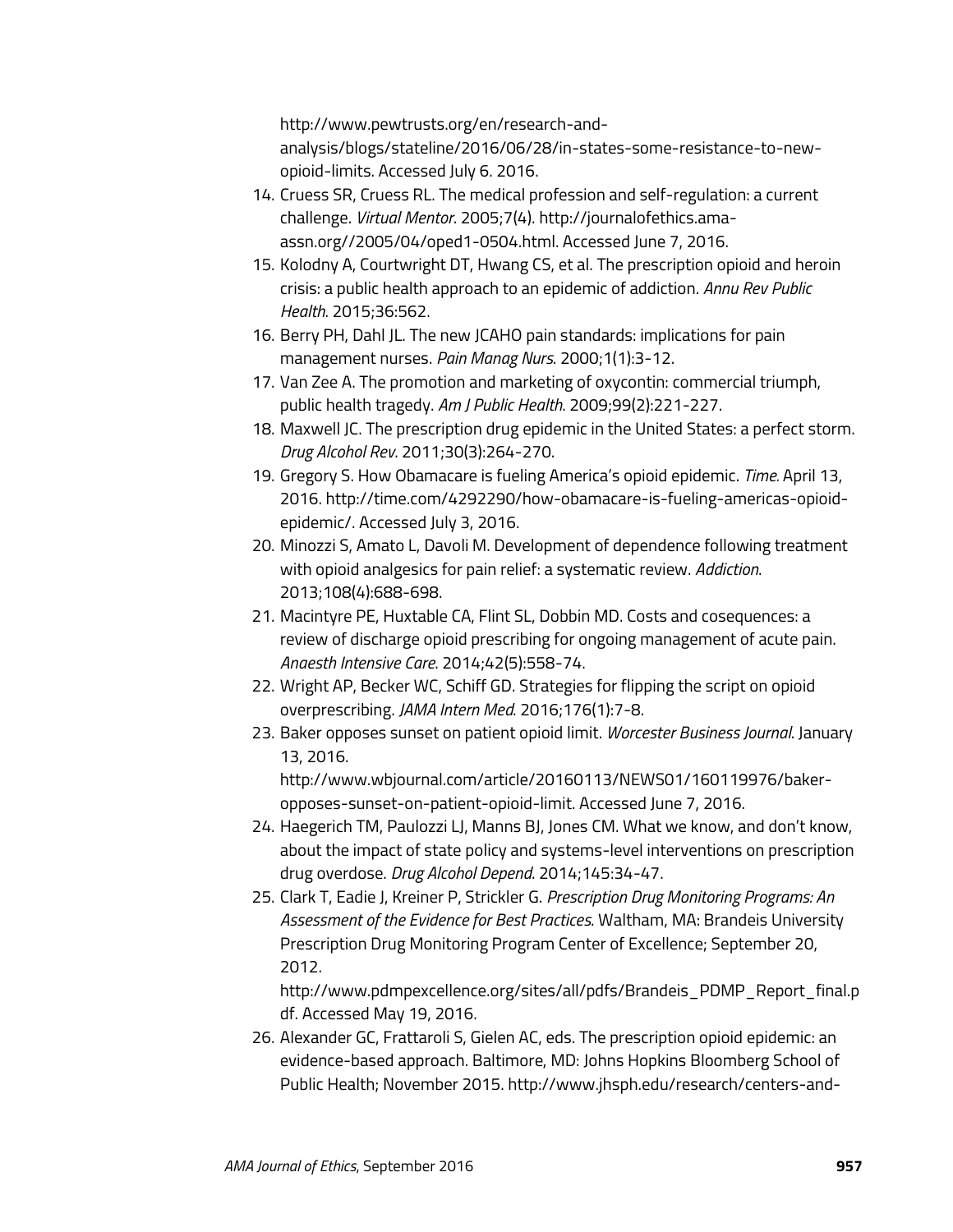http://www.pewtrusts.org/en/research-andanalysis/blogs/stateline/2016/06/28/in-states-some-resistance-to-newopioid-limits. Accessed July 6. 2016.

- 14. Cruess SR, Cruess RL. The medical profession and self-regulation: a current challenge. *Virtual Mentor*. 2005;7(4). http://journalofethics.amaassn.org//2005/04/oped1-0504.html. Accessed June 7, 2016.
- 15. Kolodny A, Courtwright DT, Hwang CS, et al. The prescription opioid and heroin crisis: a public health approach to an epidemic of addiction. *Annu Rev Public Health*. 2015;36:562.
- 16. Berry PH, Dahl JL. The new JCAHO pain standards: implications for pain management nurses. *Pain Manag Nurs*. 2000;1(1):3-12.
- 17. Van Zee A. The promotion and marketing of oxycontin: commercial triumph, public health tragedy. *Am J Public Health*. 2009;99(2):221-227.
- 18. Maxwell JC. The prescription drug epidemic in the United States: a perfect storm. *Drug Alcohol Rev*. 2011;30(3):264-270.
- 19. Gregory S. How Obamacare is fueling America's opioid epidemic. *Time.* April 13, 2016. http://time.com/4292290/how-obamacare-is-fueling-americas-opioidepidemic/. Accessed July 3, 2016.
- 20. Minozzi S, Amato L, Davoli M. Development of dependence following treatment with opioid analgesics for pain relief: a systematic review. *Addiction*. 2013;108(4):688-698.
- 21. Macintyre PE, Huxtable CA, Flint SL, Dobbin MD. Costs and cosequences: a review of discharge opioid prescribing for ongoing management of acute pain. *Anaesth Intensive Care*. 2014;42(5):558-74.
- 22. Wright AP, Becker WC, Schiff GD. Strategies for flipping the script on opioid overprescribing. *JAMA Intern Med*. 2016;176(1):7-8.
- 23. Baker opposes sunset on patient opioid limit. *Worcester Business Journal*. January 13, 2016.

http://www.wbjournal.com/article/20160113/NEWS01/160119976/bakeropposes-sunset-on-patient-opioid-limit. Accessed June 7, 2016.

- 24. Haegerich TM, Paulozzi LJ, Manns BJ, Jones CM. What we know, and don't know, about the impact of state policy and systems-level interventions on prescription drug overdose. *Drug Alcohol Depend*. 2014;145:34-47.
- 25. Clark T, Eadie J, Kreiner P, Strickler G. *Prescription Drug Monitoring Programs: An Assessment of the Evidence for Best Practices*. Waltham, MA: Brandeis University Prescription Drug Monitoring Program Center of Excellence; September 20, 2012.

http://www.pdmpexcellence.org/sites/all/pdfs/Brandeis\_PDMP\_Report\_final.p df. Accessed May 19, 2016.

26. Alexander GC, Frattaroli S, Gielen AC, eds. The prescription opioid epidemic: an evidence-based approach. Baltimore, MD: Johns Hopkins Bloomberg School of Public Health; November 2015. http://www.jhsph.edu/research/centers-and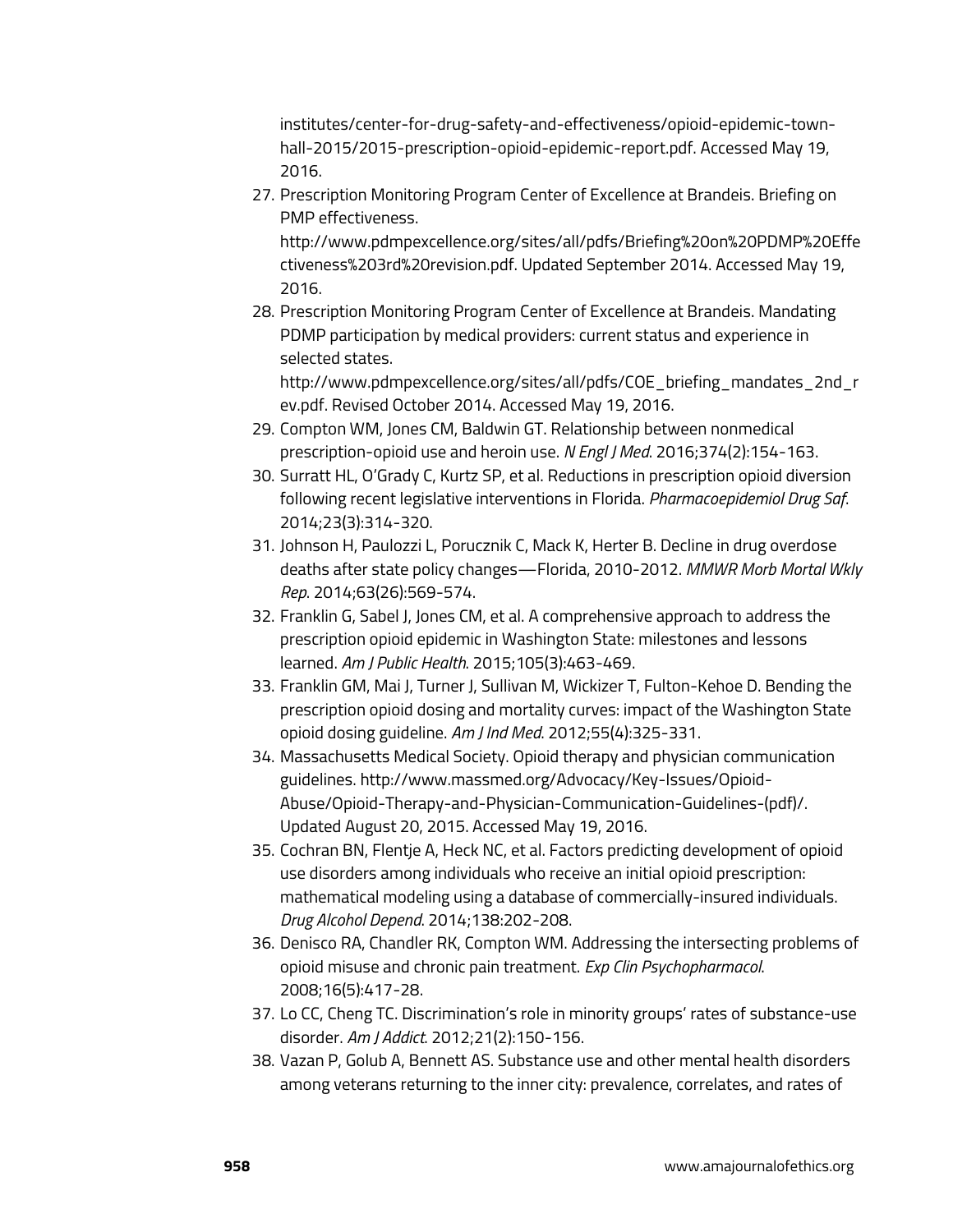institutes/center-for-drug-safety-and-effectiveness/opioid-epidemic-townhall-2015/2015-prescription-opioid-epidemic-report.pdf. Accessed May 19, 2016.

27. Prescription Monitoring Program Center of Excellence at Brandeis. Briefing on PMP effectiveness. http://www.pdmpexcellence.org/sites/all/pdfs/Briefing%20on%20PDMP%20Effe

ctiveness%203rd%20revision.pdf. Updated September 2014. Accessed May 19, 2016.

28. Prescription Monitoring Program Center of Excellence at Brandeis. Mandating PDMP participation by medical providers: current status and experience in selected states.

http://www.pdmpexcellence.org/sites/all/pdfs/COE\_briefing\_mandates\_2nd\_r ev.pdf. Revised October 2014. Accessed May 19, 2016.

- 29. Compton WM, Jones CM, Baldwin GT. Relationship between nonmedical prescription-opioid use and heroin use. *N Engl J Med*. 2016;374(2):154-163.
- 30. Surratt HL, O'Grady C, Kurtz SP, et al. Reductions in prescription opioid diversion following recent legislative interventions in Florida. *Pharmacoepidemiol Drug Saf*. 2014;23(3):314-320.
- 31. Johnson H, Paulozzi L, Porucznik C, Mack K, Herter B. Decline in drug overdose deaths after state policy changes—Florida, 2010-2012. *MMWR Morb Mortal Wkly Rep*. 2014;63(26):569-574.
- 32. Franklin G, Sabel J, Jones CM, et al. A comprehensive approach to address the prescription opioid epidemic in Washington State: milestones and lessons learned. *Am J Public Health*. 2015;105(3):463-469.
- 33. Franklin GM, Mai J, Turner J, Sullivan M, Wickizer T, Fulton-Kehoe D. Bending the prescription opioid dosing and mortality curves: impact of the Washington State opioid dosing guideline. *Am J Ind Med*. 2012;55(4):325-331.
- 34. Massachusetts Medical Society. Opioid therapy and physician communication guidelines. http://www.massmed.org/Advocacy/Key-Issues/Opioid-Abuse/Opioid-Therapy-and-Physician-Communication-Guidelines-(pdf)/. Updated August 20, 2015. Accessed May 19, 2016.
- 35. Cochran BN, Flentje A, Heck NC, et al. Factors predicting development of opioid use disorders among individuals who receive an initial opioid prescription: mathematical modeling using a database of commercially-insured individuals. *Drug Alcohol Depend*. 2014;138:202-208.
- 36. Denisco RA, Chandler RK, Compton WM. Addressing the intersecting problems of opioid misuse and chronic pain treatment. *Exp Clin Psychopharmacol*. 2008;16(5):417-28.
- 37. Lo CC, Cheng TC. Discrimination's role in minority groups' rates of substance-use disorder. *Am J Addict*. 2012;21(2):150-156.
- 38. Vazan P, Golub A, Bennett AS. Substance use and other mental health disorders among veterans returning to the inner city: prevalence, correlates, and rates of